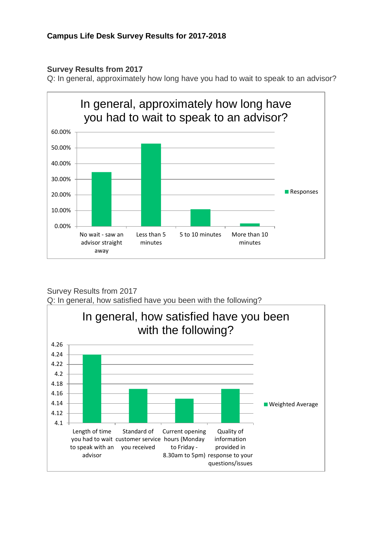## **Survey Results from 2017**

Q: In general, approximately how long have you had to wait to speak to an advisor?



Survey Results from 2017 Q: In general, how satisfied have you been with the following?

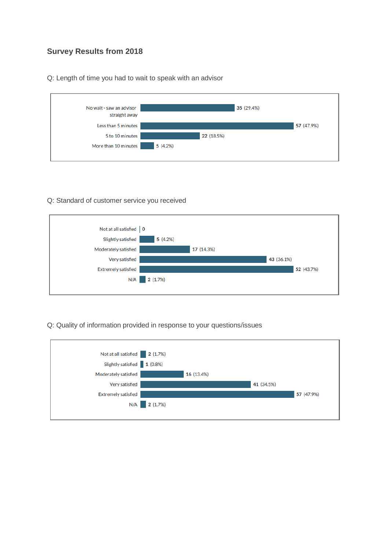## **Survey Results from 2018**

Q: Length of time you had to wait to speak with an advisor



## Q: Standard of customer service you received



## Q: Quality of information provided in response to your questions/issues